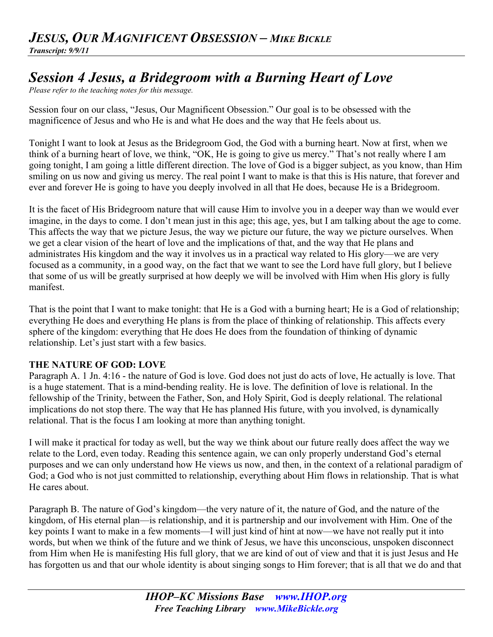## *JESUS, OUR MAGNIFICENT OBSESSION – MIKE BICKLE Transcript: 9/9/11*

# *Session 4 Jesus, a Bridegroom with a Burning Heart of Love*

*Please refer to the teaching notes for this message.*

Session four on our class, "Jesus, Our Magnificent Obsession." Our goal is to be obsessed with the magnificence of Jesus and who He is and what He does and the way that He feels about us.

Tonight I want to look at Jesus as the Bridegroom God, the God with a burning heart. Now at first, when we think of a burning heart of love, we think, "OK, He is going to give us mercy." That's not really where I am going tonight, I am going a little different direction. The love of God is a bigger subject, as you know, than Him smiling on us now and giving us mercy. The real point I want to make is that this is His nature, that forever and ever and forever He is going to have you deeply involved in all that He does, because He is a Bridegroom.

It is the facet of His Bridegroom nature that will cause Him to involve you in a deeper way than we would ever imagine, in the days to come. I don't mean just in this age; this age, yes, but I am talking about the age to come. This affects the way that we picture Jesus, the way we picture our future, the way we picture ourselves. When we get a clear vision of the heart of love and the implications of that, and the way that He plans and administrates His kingdom and the way it involves us in a practical way related to His glory—we are very focused as a community, in a good way, on the fact that we want to see the Lord have full glory, but I believe that some of us will be greatly surprised at how deeply we will be involved with Him when His glory is fully manifest.

That is the point that I want to make tonight: that He is a God with a burning heart; He is a God of relationship; everything He does and everything He plans is from the place of thinking of relationship. This affects every sphere of the kingdom: everything that He does He does from the foundation of thinking of dynamic relationship. Let's just start with a few basics.

## **THE NATURE OF GOD: LOVE**

Paragraph A. 1 Jn. 4:16 - the nature of God is love. God does not just do acts of love, He actually is love. That is a huge statement. That is a mind-bending reality. He is love. The definition of love is relational. In the fellowship of the Trinity, between the Father, Son, and Holy Spirit, God is deeply relational. The relational implications do not stop there. The way that He has planned His future, with you involved, is dynamically relational. That is the focus I am looking at more than anything tonight.

I will make it practical for today as well, but the way we think about our future really does affect the way we relate to the Lord, even today. Reading this sentence again, we can only properly understand God's eternal purposes and we can only understand how He views us now, and then, in the context of a relational paradigm of God; a God who is not just committed to relationship, everything about Him flows in relationship. That is what He cares about.

Paragraph B. The nature of God's kingdom—the very nature of it, the nature of God, and the nature of the kingdom, of His eternal plan—is relationship, and it is partnership and our involvement with Him. One of the key points I want to make in a few moments—I will just kind of hint at now—we have not really put it into words, but when we think of the future and we think of Jesus, we have this unconscious, unspoken disconnect from Him when He is manifesting His full glory, that we are kind of out of view and that it is just Jesus and He has forgotten us and that our whole identity is about singing songs to Him forever; that is all that we do and that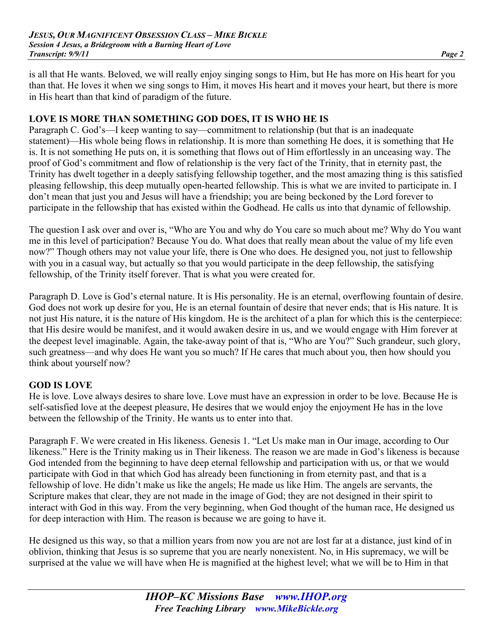is all that He wants. Beloved, we will really enjoy singing songs to Him, but He has more on His heart for you than that. He loves it when we sing songs to Him, it moves His heart and it moves your heart, but there is more in His heart than that kind of paradigm of the future.

#### **LOVE IS MORE THAN SOMETHING GOD DOES, IT IS WHO HE IS**

Paragraph C. God's—I keep wanting to say—commitment to relationship (but that is an inadequate statement)—His whole being flows in relationship. It is more than something He does, it is something that He is. It is not something He puts on, it is something that flows out of Him effortlessly in an unceasing way. The proof of God's commitment and flow of relationship is the very fact of the Trinity, that in eternity past, the Trinity has dwelt together in a deeply satisfying fellowship together, and the most amazing thing is this satisfied pleasing fellowship, this deep mutually open-hearted fellowship. This is what we are invited to participate in. I don't mean that just you and Jesus will have a friendship; you are being beckoned by the Lord forever to participate in the fellowship that has existed within the Godhead. He calls us into that dynamic of fellowship.

The question I ask over and over is, "Who are You and why do You care so much about me? Why do You want me in this level of participation? Because You do. What does that really mean about the value of my life even now?" Though others may not value your life, there is One who does. He designed you, not just to fellowship with you in a casual way, but actually so that you would participate in the deep fellowship, the satisfying fellowship, of the Trinity itself forever. That is what you were created for.

Paragraph D. Love is God's eternal nature. It is His personality. He is an eternal, overflowing fountain of desire. God does not work up desire for you, He is an eternal fountain of desire that never ends; that is His nature. It is not just His nature, it is the nature of His kingdom. He is the architect of a plan for which this is the centerpiece: that His desire would be manifest, and it would awaken desire in us, and we would engage with Him forever at the deepest level imaginable. Again, the take-away point of that is, "Who are You?" Such grandeur, such glory, such greatness—and why does He want you so much? If He cares that much about you, then how should you think about yourself now?

#### **GOD IS LOVE**

He is love. Love always desires to share love. Love must have an expression in order to be love. Because He is self-satisfied love at the deepest pleasure, He desires that we would enjoy the enjoyment He has in the love between the fellowship of the Trinity. He wants us to enter into that.

Paragraph F. We were created in His likeness. Genesis 1. "Let Us make man in Our image, according to Our likeness." Here is the Trinity making us in Their likeness. The reason we are made in God's likeness is because God intended from the beginning to have deep eternal fellowship and participation with us, or that we would participate with God in that which God has already been functioning in from eternity past, and that is a fellowship of love. He didn't make us like the angels; He made us like Him. The angels are servants, the Scripture makes that clear, they are not made in the image of God; they are not designed in their spirit to interact with God in this way. From the very beginning, when God thought of the human race, He designed us for deep interaction with Him. The reason is because we are going to have it.

He designed us this way, so that a million years from now you are not are lost far at a distance, just kind of in oblivion, thinking that Jesus is so supreme that you are nearly nonexistent. No, in His supremacy, we will be surprised at the value we will have when He is magnified at the highest level; what we will be to Him in that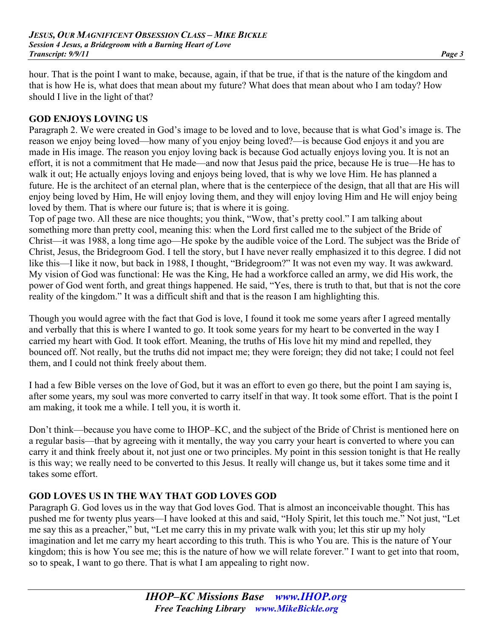hour. That is the point I want to make, because, again, if that be true, if that is the nature of the kingdom and that is how He is, what does that mean about my future? What does that mean about who I am today? How should I live in the light of that?

#### **GOD ENJOYS LOVING US**

Paragraph 2. We were created in God's image to be loved and to love, because that is what God's image is. The reason we enjoy being loved—how many of you enjoy being loved?—is because God enjoys it and you are made in His image. The reason you enjoy loving back is because God actually enjoys loving you. It is not an effort, it is not a commitment that He made—and now that Jesus paid the price, because He is true—He has to walk it out; He actually enjoys loving and enjoys being loved, that is why we love Him. He has planned a future. He is the architect of an eternal plan, where that is the centerpiece of the design, that all that are His will enjoy being loved by Him, He will enjoy loving them, and they will enjoy loving Him and He will enjoy being loved by them. That is where our future is; that is where it is going.

Top of page two. All these are nice thoughts; you think, "Wow, that's pretty cool." I am talking about something more than pretty cool, meaning this: when the Lord first called me to the subject of the Bride of Christ—it was 1988, a long time ago—He spoke by the audible voice of the Lord. The subject was the Bride of Christ, Jesus, the Bridegroom God. I tell the story, but I have never really emphasized it to this degree. I did not like this—I like it now, but back in 1988, I thought, "Bridegroom?" It was not even my way. It was awkward. My vision of God was functional: He was the King, He had a workforce called an army, we did His work, the power of God went forth, and great things happened. He said, "Yes, there is truth to that, but that is not the core reality of the kingdom." It was a difficult shift and that is the reason I am highlighting this.

Though you would agree with the fact that God is love, I found it took me some years after I agreed mentally and verbally that this is where I wanted to go. It took some years for my heart to be converted in the way I carried my heart with God. It took effort. Meaning, the truths of His love hit my mind and repelled, they bounced off. Not really, but the truths did not impact me; they were foreign; they did not take; I could not feel them, and I could not think freely about them.

I had a few Bible verses on the love of God, but it was an effort to even go there, but the point I am saying is, after some years, my soul was more converted to carry itself in that way. It took some effort. That is the point I am making, it took me a while. I tell you, it is worth it.

Don't think—because you have come to IHOP–KC, and the subject of the Bride of Christ is mentioned here on a regular basis—that by agreeing with it mentally, the way you carry your heart is converted to where you can carry it and think freely about it, not just one or two principles. My point in this session tonight is that He really is this way; we really need to be converted to this Jesus. It really will change us, but it takes some time and it takes some effort.

#### **GOD LOVES US IN THE WAY THAT GOD LOVES GOD**

Paragraph G. God loves us in the way that God loves God. That is almost an inconceivable thought. This has pushed me for twenty plus years—I have looked at this and said, "Holy Spirit, let this touch me." Not just, "Let me say this as a preacher," but, "Let me carry this in my private walk with you; let this stir up my holy imagination and let me carry my heart according to this truth. This is who You are. This is the nature of Your kingdom; this is how You see me; this is the nature of how we will relate forever." I want to get into that room, so to speak, I want to go there. That is what I am appealing to right now.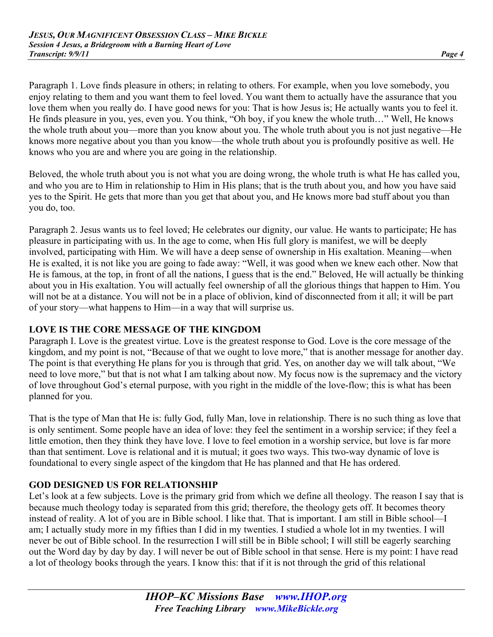Paragraph 1. Love finds pleasure in others; in relating to others. For example, when you love somebody, you enjoy relating to them and you want them to feel loved. You want them to actually have the assurance that you love them when you really do. I have good news for you: That is how Jesus is; He actually wants you to feel it. He finds pleasure in you, yes, even you. You think, "Oh boy, if you knew the whole truth…" Well, He knows the whole truth about you—more than you know about you. The whole truth about you is not just negative—He knows more negative about you than you know—the whole truth about you is profoundly positive as well. He knows who you are and where you are going in the relationship.

Beloved, the whole truth about you is not what you are doing wrong, the whole truth is what He has called you, and who you are to Him in relationship to Him in His plans; that is the truth about you, and how you have said yes to the Spirit. He gets that more than you get that about you, and He knows more bad stuff about you than you do, too.

Paragraph 2. Jesus wants us to feel loved; He celebrates our dignity, our value. He wants to participate; He has pleasure in participating with us. In the age to come, when His full glory is manifest, we will be deeply involved, participating with Him. We will have a deep sense of ownership in His exaltation. Meaning—when He is exalted, it is not like you are going to fade away: "Well, it was good when we knew each other. Now that He is famous, at the top, in front of all the nations, I guess that is the end." Beloved, He will actually be thinking about you in His exaltation. You will actually feel ownership of all the glorious things that happen to Him. You will not be at a distance. You will not be in a place of oblivion, kind of disconnected from it all; it will be part of your story—what happens to Him—in a way that will surprise us.

## **LOVE IS THE CORE MESSAGE OF THE KINGDOM**

Paragraph I. Love is the greatest virtue. Love is the greatest response to God. Love is the core message of the kingdom, and my point is not, "Because of that we ought to love more," that is another message for another day. The point is that everything He plans for you is through that grid. Yes, on another day we will talk about, "We need to love more," but that is not what I am talking about now. My focus now is the supremacy and the victory of love throughout God's eternal purpose, with you right in the middle of the love-flow; this is what has been planned for you.

That is the type of Man that He is: fully God, fully Man, love in relationship. There is no such thing as love that is only sentiment. Some people have an idea of love: they feel the sentiment in a worship service; if they feel a little emotion, then they think they have love. I love to feel emotion in a worship service, but love is far more than that sentiment. Love is relational and it is mutual; it goes two ways. This two-way dynamic of love is foundational to every single aspect of the kingdom that He has planned and that He has ordered.

## **GOD DESIGNED US FOR RELATIONSHIP**

Let's look at a few subjects. Love is the primary grid from which we define all theology. The reason I say that is because much theology today is separated from this grid; therefore, the theology gets off. It becomes theory instead of reality. A lot of you are in Bible school. I like that. That is important. I am still in Bible school—I am; I actually study more in my fifties than I did in my twenties. I studied a whole lot in my twenties. I will never be out of Bible school. In the resurrection I will still be in Bible school; I will still be eagerly searching out the Word day by day by day. I will never be out of Bible school in that sense. Here is my point: I have read a lot of theology books through the years. I know this: that if it is not through the grid of this relational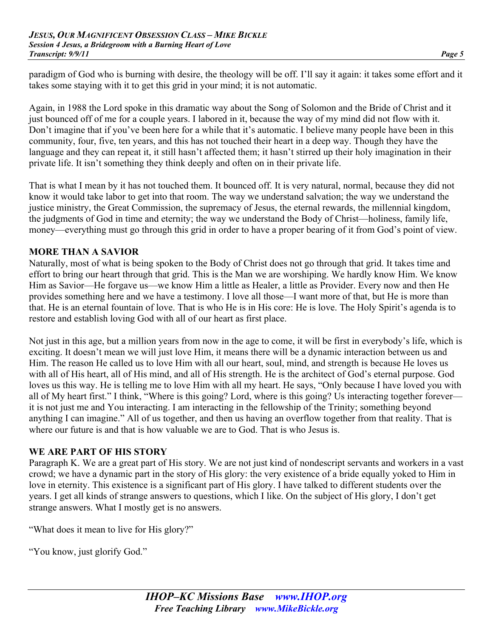paradigm of God who is burning with desire, the theology will be off. I'll say it again: it takes some effort and it takes some staying with it to get this grid in your mind; it is not automatic.

Again, in 1988 the Lord spoke in this dramatic way about the Song of Solomon and the Bride of Christ and it just bounced off of me for a couple years. I labored in it, because the way of my mind did not flow with it. Don't imagine that if you've been here for a while that it's automatic. I believe many people have been in this community, four, five, ten years, and this has not touched their heart in a deep way. Though they have the language and they can repeat it, it still hasn't affected them; it hasn't stirred up their holy imagination in their private life. It isn't something they think deeply and often on in their private life.

That is what I mean by it has not touched them. It bounced off. It is very natural, normal, because they did not know it would take labor to get into that room. The way we understand salvation; the way we understand the justice ministry, the Great Commission, the supremacy of Jesus, the eternal rewards, the millennial kingdom, the judgments of God in time and eternity; the way we understand the Body of Christ—holiness, family life, money—everything must go through this grid in order to have a proper bearing of it from God's point of view.

## **MORE THAN A SAVIOR**

Naturally, most of what is being spoken to the Body of Christ does not go through that grid. It takes time and effort to bring our heart through that grid. This is the Man we are worshiping. We hardly know Him. We know Him as Savior—He forgave us—we know Him a little as Healer, a little as Provider. Every now and then He provides something here and we have a testimony. I love all those—I want more of that, but He is more than that. He is an eternal fountain of love. That is who He is in His core: He is love. The Holy Spirit's agenda is to restore and establish loving God with all of our heart as first place.

Not just in this age, but a million years from now in the age to come, it will be first in everybody's life, which is exciting. It doesn't mean we will just love Him, it means there will be a dynamic interaction between us and Him. The reason He called us to love Him with all our heart, soul, mind, and strength is because He loves us with all of His heart, all of His mind, and all of His strength. He is the architect of God's eternal purpose. God loves us this way. He is telling me to love Him with all my heart. He says, "Only because I have loved you with all of My heart first." I think, "Where is this going? Lord, where is this going? Us interacting together forever it is not just me and You interacting. I am interacting in the fellowship of the Trinity; something beyond anything I can imagine." All of us together, and then us having an overflow together from that reality. That is where our future is and that is how valuable we are to God. That is who Jesus is.

## **WE ARE PART OF HIS STORY**

Paragraph K. We are a great part of His story. We are not just kind of nondescript servants and workers in a vast crowd; we have a dynamic part in the story of His glory: the very existence of a bride equally yoked to Him in love in eternity. This existence is a significant part of His glory. I have talked to different students over the years. I get all kinds of strange answers to questions, which I like. On the subject of His glory, I don't get strange answers. What I mostly get is no answers.

"What does it mean to live for His glory?"

"You know, just glorify God."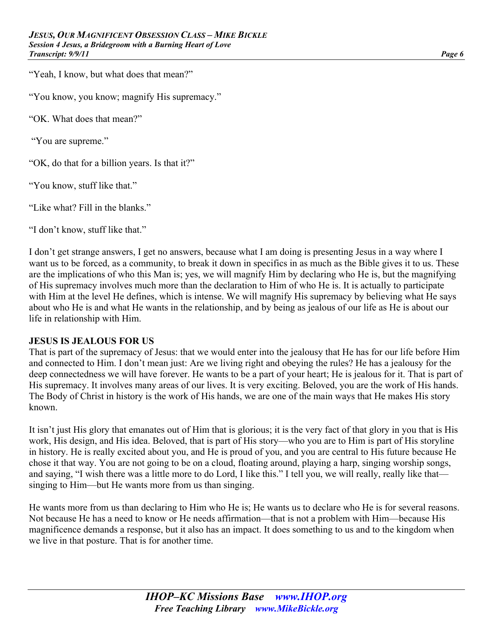"Yeah, I know, but what does that mean?"

"You know, you know; magnify His supremacy."

"OK. What does that mean?"

"You are supreme."

"OK, do that for a billion years. Is that it?"

"You know, stuff like that."

"Like what? Fill in the blanks."

"I don't know, stuff like that."

I don't get strange answers, I get no answers, because what I am doing is presenting Jesus in a way where I want us to be forced, as a community, to break it down in specifics in as much as the Bible gives it to us. These are the implications of who this Man is; yes, we will magnify Him by declaring who He is, but the magnifying of His supremacy involves much more than the declaration to Him of who He is. It is actually to participate with Him at the level He defines, which is intense. We will magnify His supremacy by believing what He says about who He is and what He wants in the relationship, and by being as jealous of our life as He is about our life in relationship with Him.

#### **JESUS IS JEALOUS FOR US**

That is part of the supremacy of Jesus: that we would enter into the jealousy that He has for our life before Him and connected to Him. I don't mean just: Are we living right and obeying the rules? He has a jealousy for the deep connectedness we will have forever. He wants to be a part of your heart; He is jealous for it. That is part of His supremacy. It involves many areas of our lives. It is very exciting. Beloved, you are the work of His hands. The Body of Christ in history is the work of His hands, we are one of the main ways that He makes His story known.

It isn't just His glory that emanates out of Him that is glorious; it is the very fact of that glory in you that is His work, His design, and His idea. Beloved, that is part of His story—who you are to Him is part of His storyline in history. He is really excited about you, and He is proud of you, and you are central to His future because He chose it that way. You are not going to be on a cloud, floating around, playing a harp, singing worship songs, and saying, "I wish there was a little more to do Lord, I like this." I tell you, we will really, really like that singing to Him—but He wants more from us than singing.

He wants more from us than declaring to Him who He is; He wants us to declare who He is for several reasons. Not because He has a need to know or He needs affirmation—that is not a problem with Him—because His magnificence demands a response, but it also has an impact. It does something to us and to the kingdom when we live in that posture. That is for another time.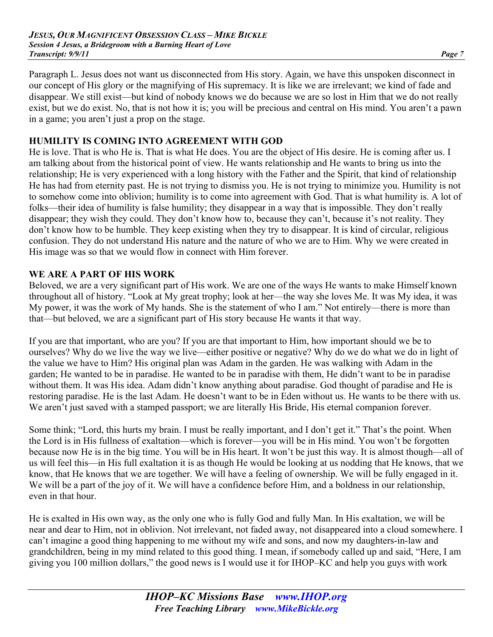Paragraph L. Jesus does not want us disconnected from His story. Again, we have this unspoken disconnect in our concept of His glory or the magnifying of His supremacy. It is like we are irrelevant; we kind of fade and disappear. We still exist—but kind of nobody knows we do because we are so lost in Him that we do not really exist, but we do exist. No, that is not how it is; you will be precious and central on His mind. You aren't a pawn in a game; you aren't just a prop on the stage.

#### **HUMILITY IS COMING INTO AGREEMENT WITH GOD**

He is love. That is who He is. That is what He does. You are the object of His desire. He is coming after us. I am talking about from the historical point of view. He wants relationship and He wants to bring us into the relationship; He is very experienced with a long history with the Father and the Spirit, that kind of relationship He has had from eternity past. He is not trying to dismiss you. He is not trying to minimize you. Humility is not to somehow come into oblivion; humility is to come into agreement with God. That is what humility is. A lot of folks—their idea of humility is false humility; they disappear in a way that is impossible. They don't really disappear; they wish they could. They don't know how to, because they can't, because it's not reality. They don't know how to be humble. They keep existing when they try to disappear. It is kind of circular, religious confusion. They do not understand His nature and the nature of who we are to Him. Why we were created in His image was so that we would flow in connect with Him forever.

## **WE ARE A PART OF HIS WORK**

Beloved, we are a very significant part of His work. We are one of the ways He wants to make Himself known throughout all of history. "Look at My great trophy; look at her—the way she loves Me. It was My idea, it was My power, it was the work of My hands. She is the statement of who I am." Not entirely—there is more than that—but beloved, we are a significant part of His story because He wants it that way.

If you are that important, who are you? If you are that important to Him, how important should we be to ourselves? Why do we live the way we live—either positive or negative? Why do we do what we do in light of the value we have to Him? His original plan was Adam in the garden. He was walking with Adam in the garden; He wanted to be in paradise. He wanted to be in paradise with them, He didn't want to be in paradise without them. It was His idea. Adam didn't know anything about paradise. God thought of paradise and He is restoring paradise. He is the last Adam. He doesn't want to be in Eden without us. He wants to be there with us. We aren't just saved with a stamped passport; we are literally His Bride, His eternal companion forever.

Some think; "Lord, this hurts my brain. I must be really important, and I don't get it." That's the point. When the Lord is in His fullness of exaltation—which is forever—you will be in His mind. You won't be forgotten because now He is in the big time. You will be in His heart. It won't be just this way. It is almost though—all of us will feel this—in His full exaltation it is as though He would be looking at us nodding that He knows, that we know, that He knows that we are together. We will have a feeling of ownership. We will be fully engaged in it. We will be a part of the joy of it. We will have a confidence before Him, and a boldness in our relationship, even in that hour.

He is exalted in His own way, as the only one who is fully God and fully Man. In His exaltation, we will be near and dear to Him, not in oblivion. Not irrelevant, not faded away, not disappeared into a cloud somewhere. I can't imagine a good thing happening to me without my wife and sons, and now my daughters-in-law and grandchildren, being in my mind related to this good thing. I mean, if somebody called up and said, "Here, I am giving you 100 million dollars," the good news is I would use it for IHOP–KC and help you guys with work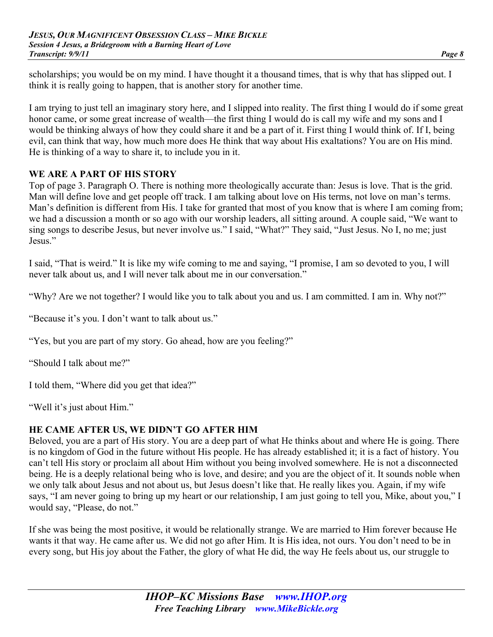scholarships; you would be on my mind. I have thought it a thousand times, that is why that has slipped out. I think it is really going to happen, that is another story for another time.

I am trying to just tell an imaginary story here, and I slipped into reality. The first thing I would do if some great honor came, or some great increase of wealth—the first thing I would do is call my wife and my sons and I would be thinking always of how they could share it and be a part of it. First thing I would think of. If I, being evil, can think that way, how much more does He think that way about His exaltations? You are on His mind. He is thinking of a way to share it, to include you in it.

#### **WE ARE A PART OF HIS STORY**

Top of page 3. Paragraph O. There is nothing more theologically accurate than: Jesus is love. That is the grid. Man will define love and get people off track. I am talking about love on His terms, not love on man's terms. Man's definition is different from His. I take for granted that most of you know that is where I am coming from; we had a discussion a month or so ago with our worship leaders, all sitting around. A couple said, "We want to sing songs to describe Jesus, but never involve us." I said, "What?" They said, "Just Jesus. No I, no me; just Jesus."

I said, "That is weird." It is like my wife coming to me and saying, "I promise, I am so devoted to you, I will never talk about us, and I will never talk about me in our conversation."

"Why? Are we not together? I would like you to talk about you and us. I am committed. I am in. Why not?"

"Because it's you. I don't want to talk about us."

"Yes, but you are part of my story. Go ahead, how are you feeling?"

"Should I talk about me?"

I told them, "Where did you get that idea?"

"Well it's just about Him."

#### **HE CAME AFTER US, WE DIDN'T GO AFTER HIM**

Beloved, you are a part of His story. You are a deep part of what He thinks about and where He is going. There is no kingdom of God in the future without His people. He has already established it; it is a fact of history. You can't tell His story or proclaim all about Him without you being involved somewhere. He is not a disconnected being. He is a deeply relational being who is love, and desire; and you are the object of it. It sounds noble when we only talk about Jesus and not about us, but Jesus doesn't like that. He really likes you. Again, if my wife says, "I am never going to bring up my heart or our relationship, I am just going to tell you, Mike, about you," I would say, "Please, do not."

If she was being the most positive, it would be relationally strange. We are married to Him forever because He wants it that way. He came after us. We did not go after Him. It is His idea, not ours. You don't need to be in every song, but His joy about the Father, the glory of what He did, the way He feels about us, our struggle to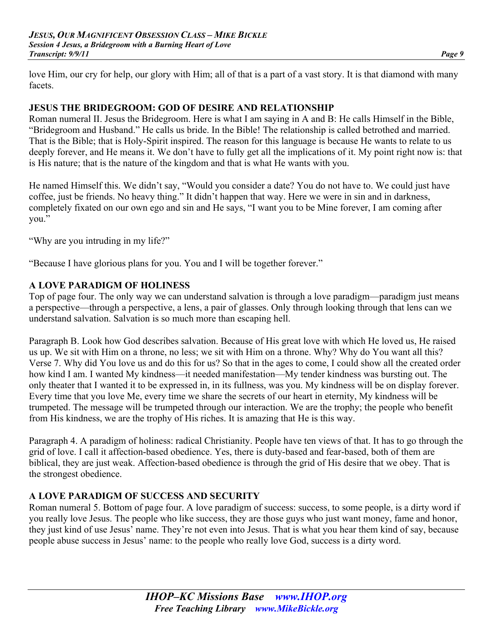love Him, our cry for help, our glory with Him; all of that is a part of a vast story. It is that diamond with many facets.

## **JESUS THE BRIDEGROOM: GOD OF DESIRE AND RELATIONSHIP**

Roman numeral II. Jesus the Bridegroom. Here is what I am saying in A and B: He calls Himself in the Bible, "Bridegroom and Husband." He calls us bride. In the Bible! The relationship is called betrothed and married. That is the Bible; that is Holy-Spirit inspired. The reason for this language is because He wants to relate to us deeply forever, and He means it. We don't have to fully get all the implications of it. My point right now is: that is His nature; that is the nature of the kingdom and that is what He wants with you.

He named Himself this. We didn't say, "Would you consider a date? You do not have to. We could just have coffee, just be friends. No heavy thing." It didn't happen that way. Here we were in sin and in darkness, completely fixated on our own ego and sin and He says, "I want you to be Mine forever, I am coming after you."

"Why are you intruding in my life?"

"Because I have glorious plans for you. You and I will be together forever."

#### **A LOVE PARADIGM OF HOLINESS**

Top of page four. The only way we can understand salvation is through a love paradigm—paradigm just means a perspective—through a perspective, a lens, a pair of glasses. Only through looking through that lens can we understand salvation. Salvation is so much more than escaping hell.

Paragraph B. Look how God describes salvation. Because of His great love with which He loved us, He raised us up. We sit with Him on a throne, no less; we sit with Him on a throne. Why? Why do You want all this? Verse 7. Why did You love us and do this for us? So that in the ages to come, I could show all the created order how kind I am. I wanted My kindness—it needed manifestation—My tender kindness was bursting out. The only theater that I wanted it to be expressed in, in its fullness, was you. My kindness will be on display forever. Every time that you love Me, every time we share the secrets of our heart in eternity, My kindness will be trumpeted. The message will be trumpeted through our interaction. We are the trophy; the people who benefit from His kindness, we are the trophy of His riches. It is amazing that He is this way.

Paragraph 4. A paradigm of holiness: radical Christianity. People have ten views of that. It has to go through the grid of love. I call it affection-based obedience. Yes, there is duty-based and fear-based, both of them are biblical, they are just weak. Affection-based obedience is through the grid of His desire that we obey. That is the strongest obedience.

#### **A LOVE PARADIGM OF SUCCESS AND SECURITY**

Roman numeral 5. Bottom of page four. A love paradigm of success: success, to some people, is a dirty word if you really love Jesus. The people who like success, they are those guys who just want money, fame and honor, they just kind of use Jesus' name. They're not even into Jesus. That is what you hear them kind of say, because people abuse success in Jesus' name: to the people who really love God, success is a dirty word.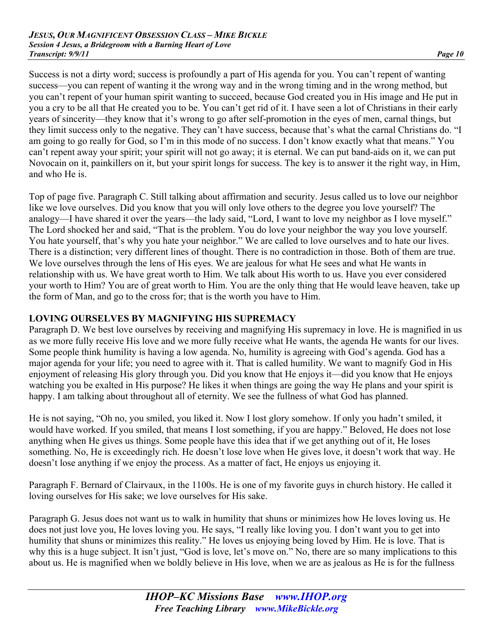Success is not a dirty word; success is profoundly a part of His agenda for you. You can't repent of wanting success—you can repent of wanting it the wrong way and in the wrong timing and in the wrong method, but you can't repent of your human spirit wanting to succeed, because God created you in His image and He put in you a cry to be all that He created you to be. You can't get rid of it. I have seen a lot of Christians in their early years of sincerity—they know that it's wrong to go after self-promotion in the eyes of men, carnal things, but they limit success only to the negative. They can't have success, because that's what the carnal Christians do. "I am going to go really for God, so I'm in this mode of no success. I don't know exactly what that means." You can't repent away your spirit; your spirit will not go away; it is eternal. We can put band-aids on it, we can put Novocain on it, painkillers on it, but your spirit longs for success. The key is to answer it the right way, in Him, and who He is.

Top of page five. Paragraph C. Still talking about affirmation and security. Jesus called us to love our neighbor like we love ourselves. Did you know that you will only love others to the degree you love yourself? The analogy—I have shared it over the years—the lady said, "Lord, I want to love my neighbor as I love myself." The Lord shocked her and said, "That is the problem. You do love your neighbor the way you love yourself. You hate yourself, that's why you hate your neighbor." We are called to love ourselves and to hate our lives. There is a distinction; very different lines of thought. There is no contradiction in those. Both of them are true. We love ourselves through the lens of His eyes. We are jealous for what He sees and what He wants in relationship with us. We have great worth to Him. We talk about His worth to us. Have you ever considered your worth to Him? You are of great worth to Him. You are the only thing that He would leave heaven, take up the form of Man, and go to the cross for; that is the worth you have to Him.

## **LOVING OURSELVES BY MAGNIFYING HIS SUPREMACY**

Paragraph D. We best love ourselves by receiving and magnifying His supremacy in love. He is magnified in us as we more fully receive His love and we more fully receive what He wants, the agenda He wants for our lives. Some people think humility is having a low agenda. No, humility is agreeing with God's agenda. God has a major agenda for your life; you need to agree with it. That is called humility. We want to magnify God in His enjoyment of releasing His glory through you. Did you know that He enjoys it—did you know that He enjoys watching you be exalted in His purpose? He likes it when things are going the way He plans and your spirit is happy. I am talking about throughout all of eternity. We see the fullness of what God has planned.

He is not saying, "Oh no, you smiled, you liked it. Now I lost glory somehow. If only you hadn't smiled, it would have worked. If you smiled, that means I lost something, if you are happy." Beloved, He does not lose anything when He gives us things. Some people have this idea that if we get anything out of it, He loses something. No, He is exceedingly rich. He doesn't lose love when He gives love, it doesn't work that way. He doesn't lose anything if we enjoy the process. As a matter of fact, He enjoys us enjoying it.

Paragraph F. Bernard of Clairvaux, in the 1100s. He is one of my favorite guys in church history. He called it loving ourselves for His sake; we love ourselves for His sake.

Paragraph G. Jesus does not want us to walk in humility that shuns or minimizes how He loves loving us. He does not just love you, He loves loving you. He says, "I really like loving you. I don't want you to get into humility that shuns or minimizes this reality." He loves us enjoying being loved by Him. He is love. That is why this is a huge subject. It isn't just, "God is love, let's move on." No, there are so many implications to this about us. He is magnified when we boldly believe in His love, when we are as jealous as He is for the fullness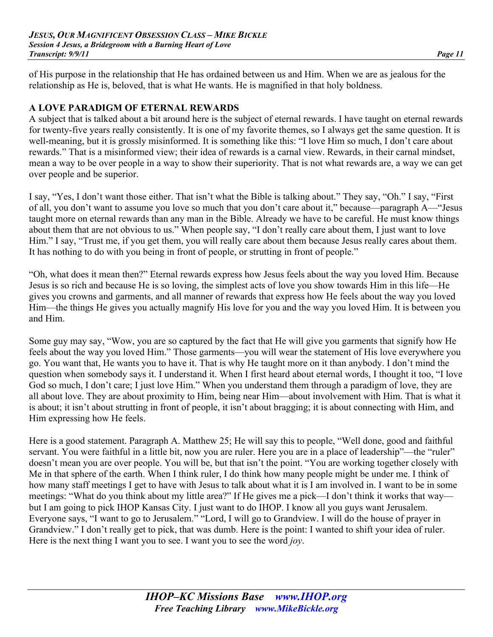of His purpose in the relationship that He has ordained between us and Him. When we are as jealous for the relationship as He is, beloved, that is what He wants. He is magnified in that holy boldness.

#### **A LOVE PARADIGM OF ETERNAL REWARDS**

A subject that is talked about a bit around here is the subject of eternal rewards. I have taught on eternal rewards for twenty-five years really consistently. It is one of my favorite themes, so I always get the same question. It is well-meaning, but it is grossly misinformed. It is something like this: "I love Him so much, I don't care about rewards." That is a misinformed view; their idea of rewards is a carnal view. Rewards, in their carnal mindset, mean a way to be over people in a way to show their superiority. That is not what rewards are, a way we can get over people and be superior.

I say, "Yes, I don't want those either. That isn't what the Bible is talking about." They say, "Oh." I say, "First of all, you don't want to assume you love so much that you don't care about it," because—paragraph A—"Jesus taught more on eternal rewards than any man in the Bible. Already we have to be careful. He must know things about them that are not obvious to us." When people say, "I don't really care about them, I just want to love Him." I say, "Trust me, if you get them, you will really care about them because Jesus really cares about them. It has nothing to do with you being in front of people, or strutting in front of people."

"Oh, what does it mean then?" Eternal rewards express how Jesus feels about the way you loved Him. Because Jesus is so rich and because He is so loving, the simplest acts of love you show towards Him in this life—He gives you crowns and garments, and all manner of rewards that express how He feels about the way you loved Him—the things He gives you actually magnify His love for you and the way you loved Him. It is between you and Him.

Some guy may say, "Wow, you are so captured by the fact that He will give you garments that signify how He feels about the way you loved Him." Those garments—you will wear the statement of His love everywhere you go. You want that, He wants you to have it. That is why He taught more on it than anybody. I don't mind the question when somebody says it. I understand it. When I first heard about eternal words, I thought it too, "I love God so much, I don't care; I just love Him." When you understand them through a paradigm of love, they are all about love. They are about proximity to Him, being near Him—about involvement with Him. That is what it is about; it isn't about strutting in front of people, it isn't about bragging; it is about connecting with Him, and Him expressing how He feels.

Here is a good statement. Paragraph A. Matthew 25; He will say this to people, "Well done, good and faithful servant. You were faithful in a little bit, now you are ruler. Here you are in a place of leadership"—the "ruler" doesn't mean you are over people. You will be, but that isn't the point. "You are working together closely with Me in that sphere of the earth. When I think ruler, I do think how many people might be under me. I think of how many staff meetings I get to have with Jesus to talk about what it is I am involved in. I want to be in some meetings: "What do you think about my little area?" If He gives me a pick—I don't think it works that way but I am going to pick IHOP Kansas City. I just want to do IHOP. I know all you guys want Jerusalem. Everyone says, "I want to go to Jerusalem." "Lord, I will go to Grandview. I will do the house of prayer in Grandview." I don't really get to pick, that was dumb. Here is the point: I wanted to shift your idea of ruler. Here is the next thing I want you to see. I want you to see the word *joy*.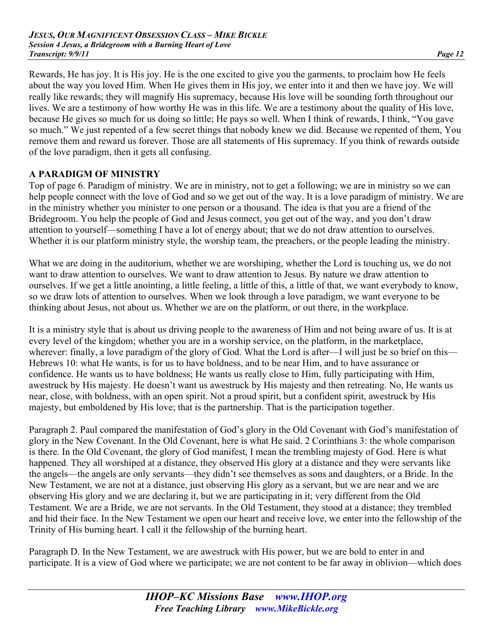Rewards, He has joy. It is His joy. He is the one excited to give you the garments, to proclaim how He feels about the way you loved Him. When He gives them in His joy, we enter into it and then we have joy. We will really like rewards; they will magnify His supremacy, because His love will be sounding forth throughout our lives. We are a testimony of how worthy He was in this life. We are a testimony about the quality of His love, because He gives so much for us doing so little; He pays so well. When I think of rewards, I think, "You gave so much." We just repented of a few secret things that nobody knew we did. Because we repented of them, You remove them and reward us forever. Those are all statements of His supremacy. If you think of rewards outside of the love paradigm, then it gets all confusing.

## **A PARADIGM OF MINISTRY**

Top of page 6. Paradigm of ministry. We are in ministry, not to get a following; we are in ministry so we can help people connect with the love of God and so we get out of the way. It is a love paradigm of ministry. We are in the ministry whether you minister to one person or a thousand. The idea is that you are a friend of the Bridegroom. You help the people of God and Jesus connect, you get out of the way, and you don't draw attention to yourself—something I have a lot of energy about; that we do not draw attention to ourselves. Whether it is our platform ministry style, the worship team, the preachers, or the people leading the ministry.

What we are doing in the auditorium, whether we are worshiping, whether the Lord is touching us, we do not want to draw attention to ourselves. We want to draw attention to Jesus. By nature we draw attention to ourselves. If we get a little anointing, a little feeling, a little of this, a little of that, we want everybody to know, so we draw lots of attention to ourselves. When we look through a love paradigm, we want everyone to be thinking about Jesus, not about us. Whether we are on the platform, or out there, in the workplace.

It is a ministry style that is about us driving people to the awareness of Him and not being aware of us. It is at every level of the kingdom; whether you are in a worship service, on the platform, in the marketplace, wherever: finally, a love paradigm of the glory of God. What the Lord is after—I will just be so brief on this— Hebrews 10: what He wants, is for us to have boldness, and to be near Him, and to have assurance or confidence. He wants us to have boldness; He wants us really close to Him, fully participating with Him, awestruck by His majesty. He doesn't want us awestruck by His majesty and then retreating. No, He wants us near, close, with boldness, with an open spirit. Not a proud spirit, but a confident spirit, awestruck by His majesty, but emboldened by His love; that is the partnership. That is the participation together.

Paragraph 2. Paul compared the manifestation of God's glory in the Old Covenant with God's manifestation of glory in the New Covenant. In the Old Covenant, here is what He said. 2 Corinthians 3: the whole comparison is there. In the Old Covenant, the glory of God manifest, I mean the trembling majesty of God. Here is what happened. They all worshiped at a distance, they observed His glory at a distance and they were servants like the angels—the angels are only servants—they didn't see themselves as sons and daughters, or a Bride. In the New Testament, we are not at a distance, just observing His glory as a servant, but we are near and we are observing His glory and we are declaring it, but we are participating in it; very different from the Old Testament. We are a Bride, we are not servants. In the Old Testament, they stood at a distance; they trembled and hid their face. In the New Testament we open our heart and receive love, we enter into the fellowship of the Trinity of His burning heart. I call it the fellowship of the burning heart.

Paragraph D. In the New Testament, we are awestruck with His power, but we are bold to enter in and participate. It is a view of God where we participate; we are not content to be far away in oblivion—which does